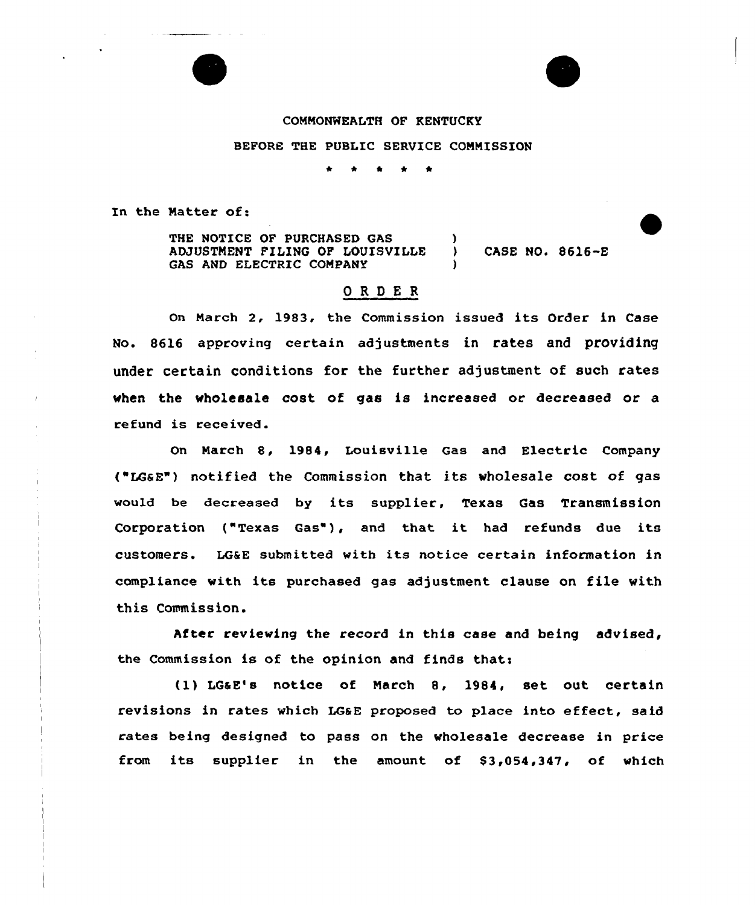### COMMONWEALTH OF KENTUCKY

#### BEFORE THE PUBLIC SERVICE COMMISSION

In the Matter of:

THE NOTICE OF PURCHASED GAS ADJUSTMENT FILING OF LOUISVILLE GAS AND ELECTRIC COMPANY )<br>) CASE NO. 8616-E )

# OROE <sup>R</sup>

On March 2, 1983, the Commission issued its Order in Case No. 8616 approving certain adjustments in rates and providing under certain conditions for the further adjustment of such rates when the wholesale cost of gas is increased or decreased or a refund is received.

On March 8, 1984, Louisville Gas and Electric Company ("LGaE") notified the Commission that its wholesale cost of gas would be decreased by its supplier, Texas Gas Transmission Corporation ("Texas Gas"), and that it had refunds due its customers. LGaE submitted with its notice certain information in compliance with its purchased gas adjustment clause on file with this Commission.

After reviewing the record in this case and being advised, the Commission is of the opinion and finds that:

(1) LGaE's notice of March 8, 1984, set out certain revisions in rates which LGaE proposed to place into effect, said rates being designed to pass on the wholesale decrease in price from its supplier in the amount of \$3,054,347, of which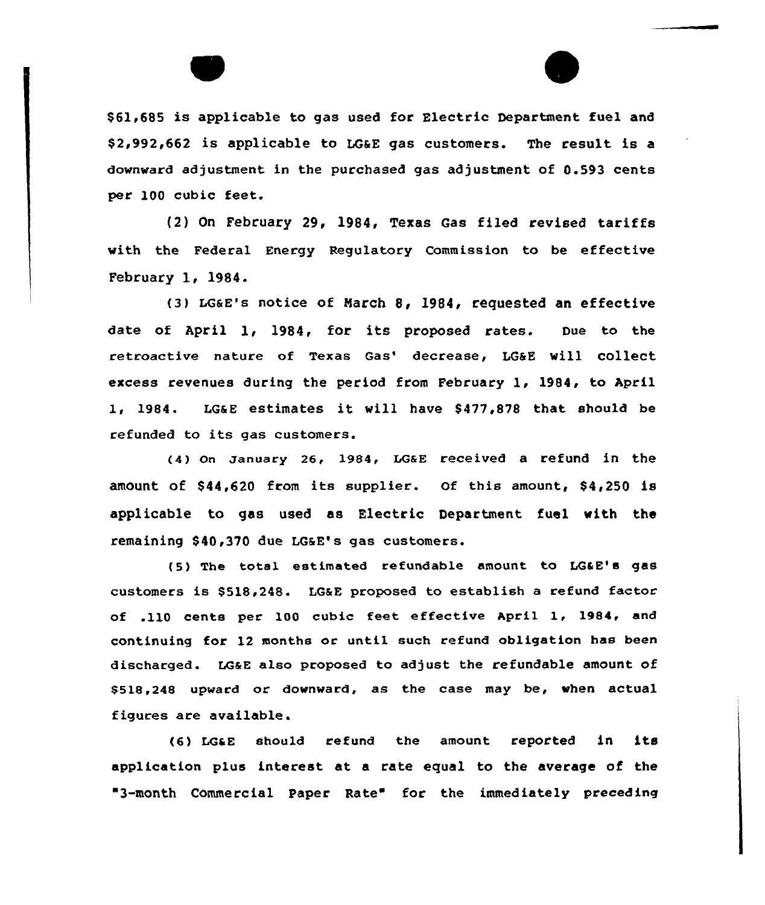\$61,685 is applicable to gas used for Electric Department fuel and \$ 2,992,662 is applicable to LGaE gas customers. The result is a downward adjustment in the purchased gas adjustment of 0.593 cents per 100 cubic feet.

(2) On February 29, 1984, Texas Gas filed revised tariffs with the Federal Energy Regulatory Commission to be effective February 1< 1984.

(3) LG&E's notice of Narch 8, 1984, requested an effective date of April 1, 1984, for its proposed rates. Due to the retroactive nature of Texas Gas' decrease, LG&E will collect excess revenues during the period from February 1, 1984, to April 1. 1984. LG&E estimates it will have \$477.878 that should be refunded to its gas customers.

(4) On january 26, 1984, LGaE received a refund in the amount of  $$44,620$  from its supplier. Of this amount,  $$4,250$  is applicable to gas used as Electric Department fuel with the remaining \$ 40,370 due LGsE's gas customers.

(5) The total estimated refundable amount to LG&E's gas customers is \$518,248. LG&E proposed to establish a refund factor of .110 cents per 100 cubic feet effective April 1, 1984, and continuing for 12 months or until such refund obligation has been discharged. LGaE also proposed to adjust the refundable amount of \$ 518,248 upward or downward, as the case may be, when actual figures are available.

{6) LGaE should refund the amount reported in its application plus interest at a rate equal to the average of the "3-month Commercial Paper Rate" for the immediately preceding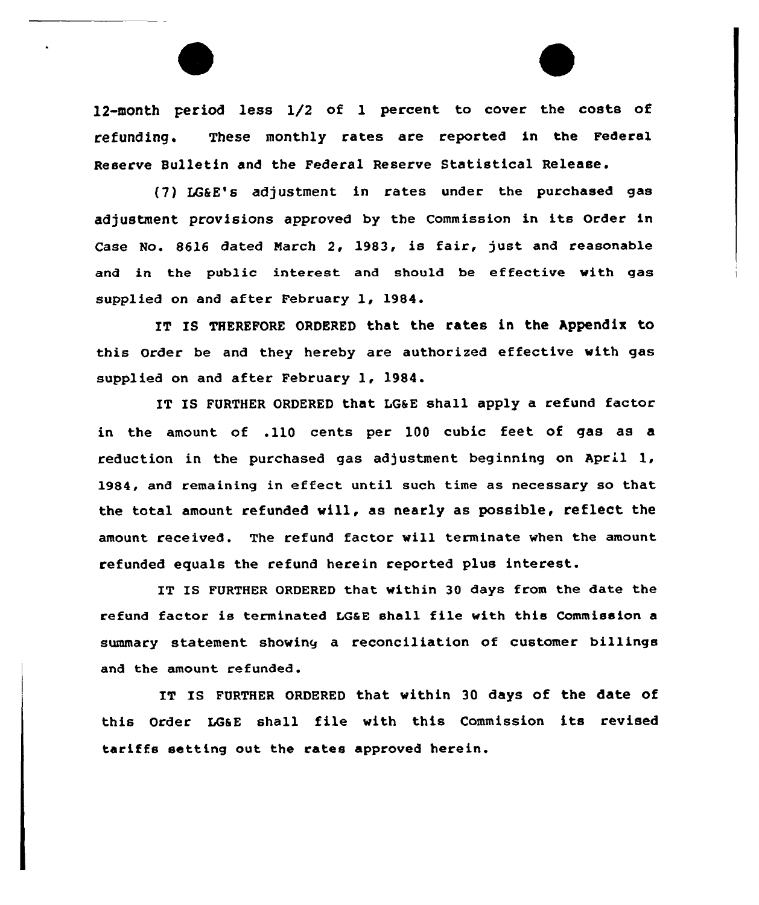12-month period less 1/2 of 1 percent to cover the costs <sup>o</sup>f refunding. These monthly rates are reported in the Federal Reserve Bulletin and the Federal Reserve Statistical Release.

(7) LG&E's adjustment in rates under the purchased gas adjustment provisions approved by the Commission in its Order in Case No. 8616 dated Narch 2, 1983, is fair, just and reasonable and in the public interest and should be effective vith gas supplied on and after February 1, 1984.

IT IS THEREFORE ORDERED that the rates in the Appendix to this Order be and they hereby are authorized effective vith gas supplied on and after February 1, 1984.

IT IS FURTHER ORDERED that LG&E shall apply a refund factor in the amount of .110 cents per 100 cubic feet of gas as a reduction in the purchased gas adjustment beginning on April 1, 1984, and remaining in effect until such time as necessary so that the total amount refunded vill, as nearly as possible, reflect the amount received. The refund factor will terminate when the amount refunded equals the refund herein reported plus interest.

IT IS FURTHER ORDERED that within 30 days from the date the refund factor is terminated LGaE shall file with this Commission <sup>a</sup> summary statement shoving a reconciliation of customer billings and the amount refunded.

IT IS FURTHER ORDERED that within 30 days of the date of this Order LGaE shall file with this Commission its revised tariffs setting out the rates approved herein.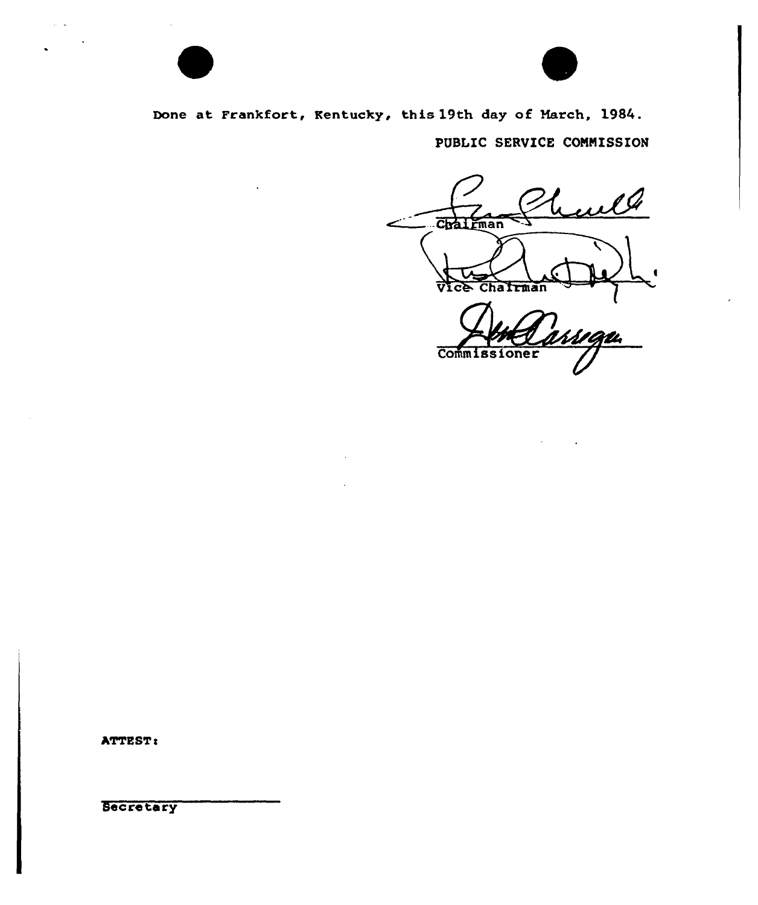

Done at Frankfort, Kentucky, this 19th day of March, 1984. PUBLIC SERVICE CONMISSION

wll Chaltman v'ic& Cha Lrman **Commissioner** 

ATTEST:

 $\omega$   $\omega$ 

Secretary